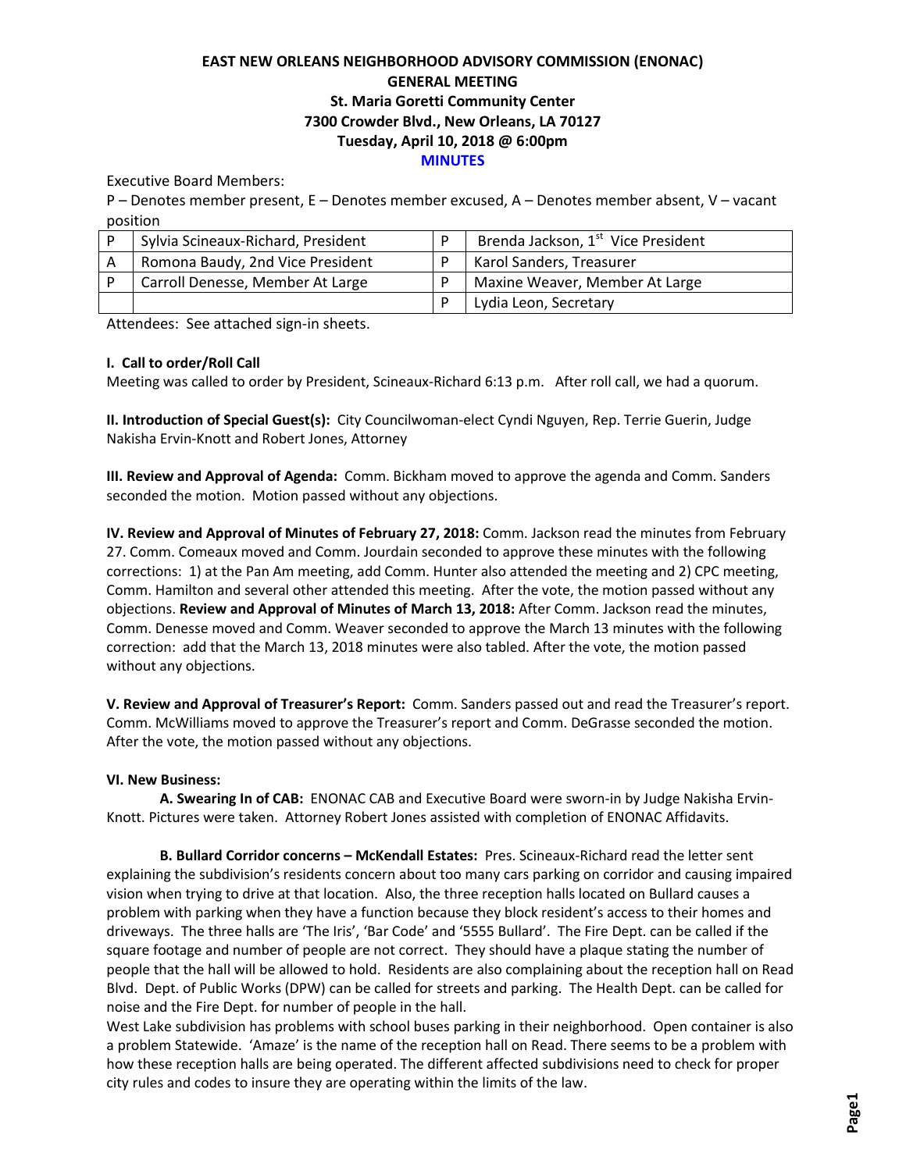# **EAST NEW ORLEANS NEIGHBORHOOD ADVISORY COMMISSION (ENONAC) GENERAL MEETING St. Maria Goretti Community Center 7300 Crowder Blvd., New Orleans, LA 70127 Tuesday, April 10, 2018 @ 6:00pm MINUTES**

#### Executive Board Members:

P – Denotes member present, E – Denotes member excused, A – Denotes member absent, V – vacant position

| Sylvia Scineaux-Richard, President | Brenda Jackson, 1 <sup>st</sup> Vice President |
|------------------------------------|------------------------------------------------|
| Romona Baudy, 2nd Vice President   | Karol Sanders, Treasurer                       |
| Carroll Denesse, Member At Large   | Maxine Weaver, Member At Large                 |
|                                    | Lydia Leon, Secretary                          |

Attendees: See attached sign-in sheets.

### **I. Call to order/Roll Call**

Meeting was called to order by President, Scineaux-Richard 6:13 p.m. After roll call, we had a quorum.

**II. Introduction of Special Guest(s):** City Councilwoman-elect Cyndi Nguyen, Rep. Terrie Guerin, Judge Nakisha Ervin-Knott and Robert Jones, Attorney

**III. Review and Approval of Agenda:** Comm. Bickham moved to approve the agenda and Comm. Sanders seconded the motion. Motion passed without any objections.

**IV. Review and Approval of Minutes of February 27, 2018:** Comm. Jackson read the minutes from February 27. Comm. Comeaux moved and Comm. Jourdain seconded to approve these minutes with the following corrections: 1) at the Pan Am meeting, add Comm. Hunter also attended the meeting and 2) CPC meeting, Comm. Hamilton and several other attended this meeting. After the vote, the motion passed without any objections. **Review and Approval of Minutes of March 13, 2018:** After Comm. Jackson read the minutes, Comm. Denesse moved and Comm. Weaver seconded to approve the March 13 minutes with the following correction: add that the March 13, 2018 minutes were also tabled. After the vote, the motion passed without any objections.

**V. Review and Approval of Treasurer's Report:** Comm. Sanders passed out and read the Treasurer's report. Comm. McWilliams moved to approve the Treasurer's report and Comm. DeGrasse seconded the motion. After the vote, the motion passed without any objections.

#### **VI. New Business:**

**A. Swearing In of CAB:** ENONAC CAB and Executive Board were sworn-in by Judge Nakisha Ervin-Knott. Pictures were taken. Attorney Robert Jones assisted with completion of ENONAC Affidavits.

**B. Bullard Corridor concerns – McKendall Estates:** Pres. Scineaux-Richard read the letter sent explaining the subdivision's residents concern about too many cars parking on corridor and causing impaired vision when trying to drive at that location. Also, the three reception halls located on Bullard causes a problem with parking when they have a function because they block resident's access to their homes and driveways. The three halls are 'The Iris', 'Bar Code' and '5555 Bullard'. The Fire Dept. can be called if the square footage and number of people are not correct. They should have a plaque stating the number of people that the hall will be allowed to hold. Residents are also complaining about the reception hall on Read Blvd. Dept. of Public Works (DPW) can be called for streets and parking. The Health Dept. can be called for noise and the Fire Dept. for number of people in the hall.

West Lake subdivision has problems with school buses parking in their neighborhood. Open container is also a problem Statewide. 'Amaze' is the name of the reception hall on Read. There seems to be a problem with how these reception halls are being operated. The different affected subdivisions need to check for proper city rules and codes to insure they are operating within the limits of the law.